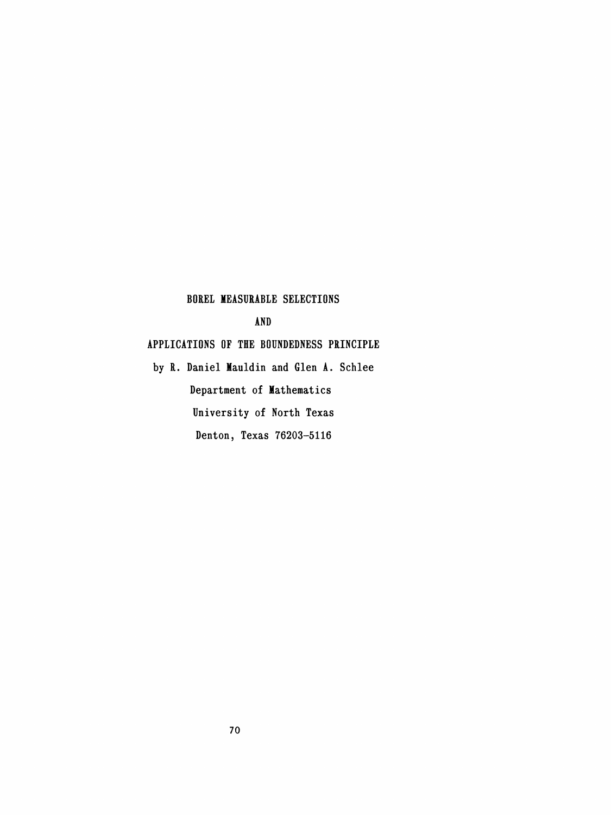# BOREI MEASURABLE SELECTIONS

AND

# APPLICATIONS OF THE BOUNDEDNESS PRINCIPLE

 by R. Daniel Mauldin and Glen A. Schlee Department of Mathematics University of North Texas Denton, Texas 76203-5116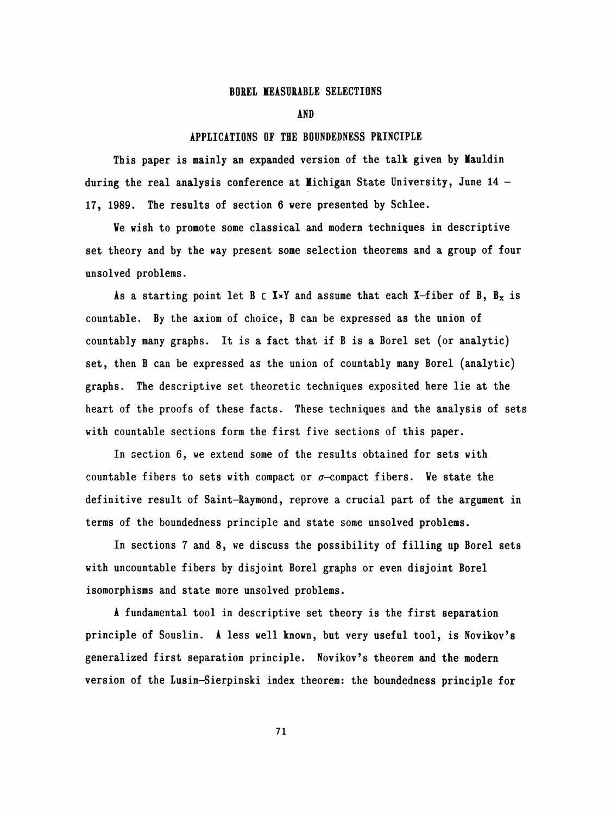### BOREŁ MEASURABLE SELECTIONS

AND

#### APPLICATIONS OF THE BOUNDEDNESS PRINCIPLE

 This paper is mainly an expanded version of the talk given by Hauldin during the real analysis conference at Michigan State University, June 14 -17, 1989. The results of section 6 were presented by Schlee.

 Ve wish to promote some classical and modern techniques in descriptive set theory and by the way present some selection theorems and a group of four unsolved problems.

As a starting point let B  $\subset$  X×Y and assume that each X-fiber of B, B<sub>x</sub> is countable. By the axiom of choice, B can be expressed as the union of countably many graphs. It is a fact that if B is a Borel set (or analytic) set, then B can be expressed as the union of countably many Borel (analytic) graphs. The descriptive set theoretic techniques exposited here lie at the heart of the proofs of these facts. These techniques and the analysis of sets with countable sections form the first five sections of this paper.

 In section 6, we extend some of the results obtained for sets with countable fibers to sets with compact or  $\sigma$ -compact fibers. We state the definitive result of Saint-Raymond, reprove a crucial part of the argument in terms of the boundedness principle and state some unsolved problems.

In sections 7 and 8, we discuss the possibility of filling up Borel sets with uncountable fibers by disjoint Borel graphs or even disjoint Borel isomorphisms and state more unsolved problems.

 A fundamental tool in descriptive set theory is the first separation principle of Souslin. A less well known, but very useful tool, is Novikov's generalized first separation principle. Novikov's theorem and the modern version of the Lusin-Sierpinski index theorem: the boundedness principle for

71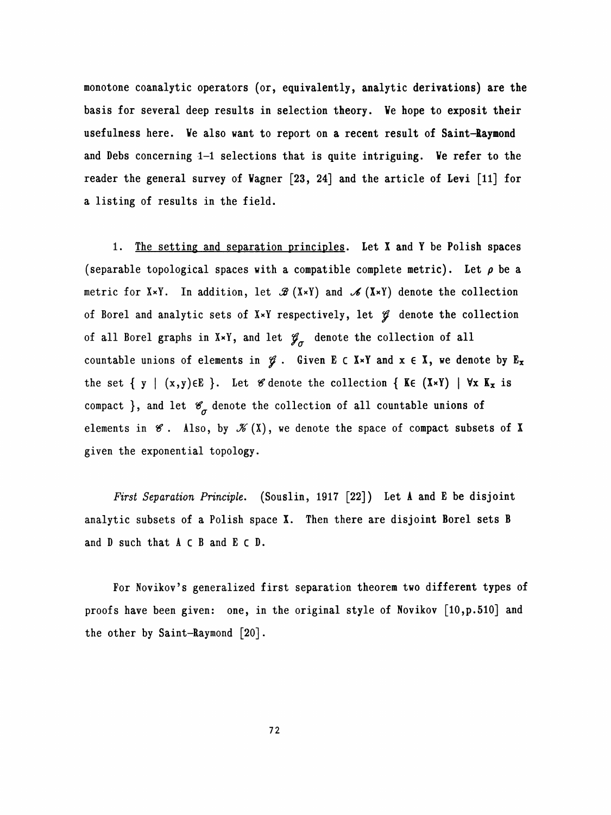monotone coanalytic operators (or, equivalently, analytic derivations) are the basis for several deep results in selection theory. Ve hope to exposit their usefulness here. Ve also want to report on a recent result of Saint-Raymond and Debs concerning 1-1 selections that is quite intriguing. Ve refer to the reader the general survey of Vagner [23, 24] and the article of Levi [11] for a listing of results in the field.

1. The setting and separation principles. Let X and Y be Polish spaces (separable topological spaces with a compatible complete metric). Let  $\rho$  be a metric for XxY. In addition, let  $\mathscr{B}(X\times Y)$  and  $\mathscr{A}(X\times Y)$  denote the collection of Borel and analytic sets of  $X\times Y$  respectively, let  $\mathcal G$  denote the collection of all Borel graphs in X\*Y, and let  $\mathscr{G}_{\sigma}$  denote the collection of all countable unions of elements in  $\mathscr{G}$ . Given E c X×Y and  $x \in X$ , we denote by E<sub>x</sub> the set {  $y$  |  $(x,y) \in E$  }. Let  $\mathscr G$  denote the collection { Ke  $(X \times Y)$  |  $\forall x$  K<sub>x</sub> is compact }, and let  $\mathscr{C}_{\sigma}$  denote the collection of all countable unions of elements in  $\mathscr G$ . Also, by  $\mathscr K(X)$ , we denote the space of compact subsets of X given the exponential topology.

First Separation Principle. (Souslin, 1917 [22]) Let A and E be disjoint analytic subsets of a Polish space X. Then there are disjoint Borel sets B and D such that A c B and E c D.

 For Novikov's generalized first separation theorem two different types of proofs have been given: one, in the original style of Novikov [10, p. 510] and the other by Saint-Raymond [20] .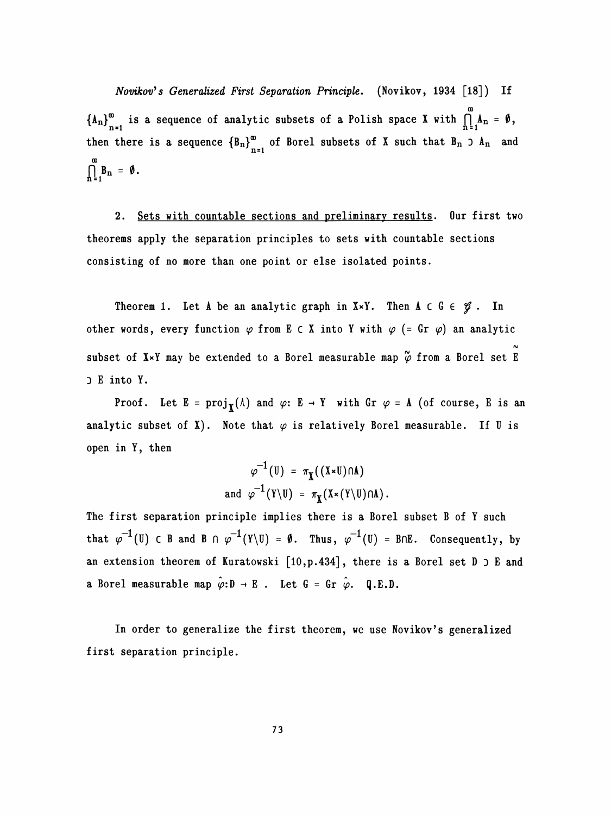Novikov's Generalized First Separation Principle. (Novikov, 1934 [18]) If OD  $\sum_{n=1}^{\infty}$  is a sequence of analytic subsets of a Polish space X with 1 then there is a sequence  ${B_n}_{n=1}^{\infty}$  of Borel subsets of X such that  $B_n \supset A_n$  and  $\int_{n=1}^{\infty} B_{n} = \emptyset$ .

 2. Sets with countable sections and preliminary results. Our first two theorems apply the separation principles to sets with countable sections consisting of no more than one point or else isolated points.

Theorem 1. Let A be an analytic graph in  $X \times Y$ . Then A c G  $\in \mathcal{G}$ . In other words, every function  $\varphi$  from E c X into Y with  $\varphi$  (= Gr  $\varphi$ ) an analytic rv subset of  $\mathbf{x}$  and  $\mathbf{y}$  be extended to a borei measurable map  $\varphi$  from D E into Y.

Proof. Let  $E = \text{proj}_{\mathbf{Y}}(\Lambda)$  and  $\varphi: E \to Y$  with Gr  $\varphi = \Lambda$  (of course, E is an analytic subset of X). Note that  $\varphi$  is relatively Borel measurable. If U is open in Y, then

$$
\varphi^{-1}(U) = \pi_{\mathbf{X}}((\mathbf{X} \star \mathbf{U}) \cap \mathbf{A})
$$
  
and 
$$
\varphi^{-1}(\mathbf{Y} \setminus \mathbf{U}) = \pi_{\mathbf{X}}(\mathbf{X} \star (\mathbf{Y} \setminus \mathbf{U}) \cap \mathbf{A}).
$$

The first separation principle implies there is a Borel subset B of Y such that  $\varphi^{-1}(U)$   $\in$  B and B  $\cap$   $\varphi^{-1}(Y\setminus U)$  = 0. Thus,  $\varphi^{-1}(U)$  = B $\cap$ E. Consequently, by an extension theorem of Kuratowski  $[10, p. 434]$ , there is a Borel set  $D \supset E$  and a Borel measurable map  $\hat{\varphi}: \mathbb{D} \to \mathbb{E}$ . Let  $G = Gr \hat{\varphi}$ . Q.E.D.

In order to generalize the first theorem, we use Novikov's generalized first separation principle.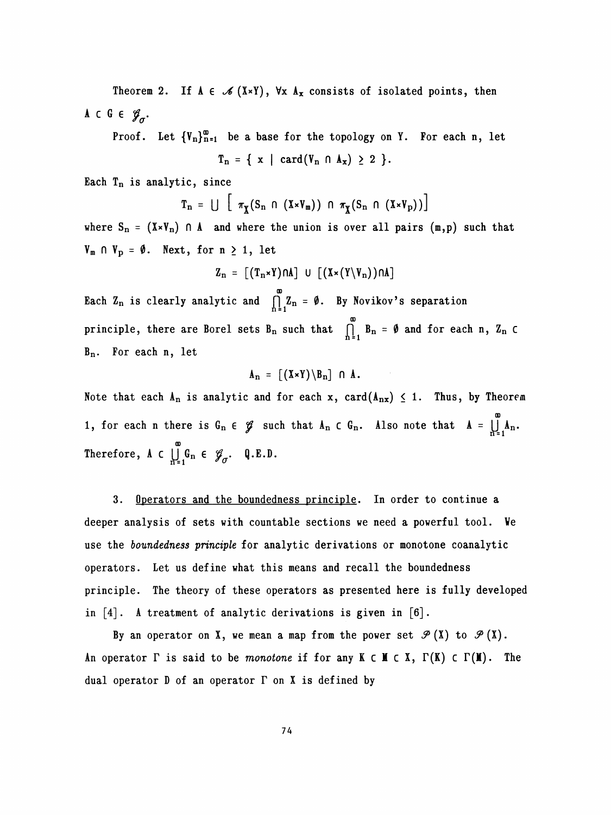Theorem 2. If  $A \in \mathcal{A}(X \times Y)$ ,  $\forall x A_x$  consists of isolated points, then A c G  $\epsilon$   $\mathscr{G}_{\sigma}$ .

Proof. Let  ${V_n}_{n=1}^{\infty}$  be a base for the topology on Y. For each n, let  $T_n = \{ x \mid \text{card}(V_n \cap A_x) \geq 2 \}.$ 

Each  $T_n$  is analytic, since

$$
T_n = \bigcup \left[ \pi_{\chi}(S_n \cap (X \times V_m)) \cap \pi_{\chi}(S_n \cap (X \times V_p)) \right]
$$

where  $S_n = (X \times V_n)$   $\cap$  A and where the union is over all pairs  $(m, p)$  such that  $V_m \cap V_p = \emptyset$ . Next, for  $n \geq 1$ , let

$$
Z_n = [(T_n \times Y) \cap A] \cup [(X \times (Y \setminus V_n)) \cap A]
$$

 ao Bach  $u_n$  is clearly analytic and  $\prod_{n=1}^{\infty} u_n - v$ . By Novikov's sep CD principle, there are Borei sets Bn such that  $h = 1$  and  $h = 0$ Bn. For each n, let

$$
A_n = [(X \times Y) \setminus B_n] \cap A.
$$

Note that each  $A_n$  is analytic and for each x, card( $A_{nx}$ )  $\leq$  1. Thus, by Theorem GD  $\frac{1}{2}$ , for each  $\frac{1}{2}$   $\frac{1}{2}$   $\frac{1}{2}$   $\frac{1}{2}$   $\frac{1}{2}$   $\frac{1}{2}$   $\frac{1}{2}$   $\frac{1}{2}$   $\frac{1}{2}$   $\frac{1}{2}$   $\frac{1}{2}$   $\frac{1}{2}$   $\frac{1}{2}$   $\frac{1}{2}$   $\frac{1}{2}$   $\frac{1}{2}$   $\frac{1}{2}$   $\frac{1}{2}$   $\frac{1}{2}$   $\frac{1}{2}$  GD  $\frac{m}{n}$   $\frac{1}{q}$   $\frac{m}{q}$ 

 3. Operators and the boundedness principle. In order to continue a deeper analysis of sets with countable sections we need a powerful tool. Ve use the boundedness principle for analytic derivations or monotone coanalytic operators. Let us define what this means and recall the boundedness principle. The theory of these operators as presented here is fully developed in  $[4]$ . A treatment of analytic derivations is given in  $[6]$ .

By an operator on X, we mean a map from the power set  $\mathcal{P}(X)$  to  $\mathcal{P}(X)$ . An operator  $\Gamma$  is said to be monotone if for any  $K \subset M \subset X$ ,  $\Gamma(K) \subset \Gamma(M)$ . The dual operator  $D$  of an operator  $\Gamma$  on X is defined by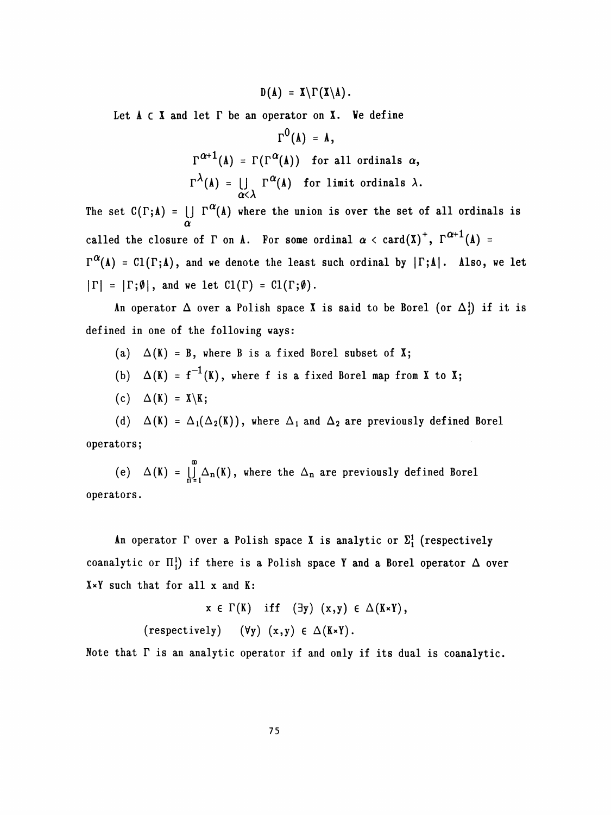$D(A) = X\Gamma(X\backslash A).$ 

Let  $A \subset X$  and let  $\Gamma$  be an operator on  $X$ . We define

$$
\Gamma^{0}(\Lambda) = \Lambda,
$$
  
\n
$$
\Gamma^{\alpha+1}(\Lambda) = \Gamma(\Gamma^{\alpha}(\Lambda)) \text{ for all ordinals } \alpha,
$$
  
\n
$$
\Gamma^{\lambda}(\Lambda) = \bigcup_{\alpha < \lambda} \Gamma^{\alpha}(\Lambda) \text{ for limit ordinals } \lambda.
$$

The set  $C(\Gamma; A) = \bigcup_{\alpha} \Gamma^{\alpha}(A)$  where the union is over the set of all ordinals is called the closure of  $\Gamma$  on  $\Lambda$ . For some ordinal  $\alpha < \text{card}(\Lambda)^+$ ,  $\Gamma^{\alpha+1}(\Lambda) =$  $\Gamma^{\alpha}(A) = \text{Cl}(\Gamma; A)$ , and we denote the least such ordinal by  $|\Gamma; A|$ . Also, we let  $|\Gamma| = |\Gamma; \emptyset|$ , and we let  $Cl(\Gamma) = Cl(\Gamma; \emptyset)$ .

An operator  $\Delta$  over a Polish space X is said to be Borel (or  $\Delta_1^1$ ) if it is defined in one of the following ways:

- (a)  $\Delta(K) = B$ , where B is a fixed Borel subset of X;
- (b)  $\Delta(K) = f^{-1}(K)$ , where f is a fixed Borel map from X to X;
- (c)  $\Delta(K) = X \backslash K;$

(d)  $\Delta(K) = \Delta_1(\Delta_2(K))$ , where  $\Delta_1$  and  $\Delta_2$  are previously defined Borel operators;

 CD (e)  $\Delta(\mathbf{A}) = \prod_{n=1}^{\infty} \Delta_n(\mathbf{A})$ , where the  $\Delta_n$  are previously operators.

An operator  $\Gamma$  over a Polish space X is analytic or  $\Sigma_1^1$  (respectively coanalytic or  $\Pi_1^1$ ) if there is a Polish space Y and a Borel operator  $\Delta$  over X\*Y such that for all x and K:

> $x \in \Gamma(K)$  iff  $(\exists y) (x,y) \in \Delta(K \times Y)$ , (respectively)  $(\forall y)$   $(x,y) \in \Delta(K*Y)$ .

Note that T is an analytic operator if and only if its dual is coanalytic.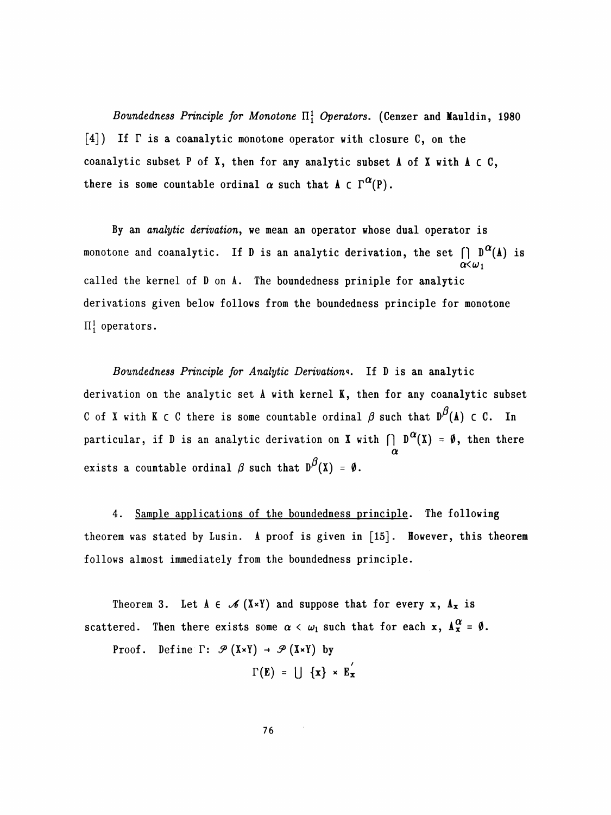Boundedness Principle for Monotone  $\Pi_1^1$  Operators. (Cenzer and Mauldin, 1980  $\lceil 4 \rceil$ ) If  $\Gamma$  is a coanalytic monotone operator with closure C, on the coanalytic subset P of X, then for any analytic subset  $A$  of X with  $A \subset C$ , there is some countable ordinal  $\alpha$  such that  $\Lambda \subset \Gamma^{\alpha}(P)$ .

 By an analytic derivation, we mean an operator whose dual operator is monotone and coanalytic. If D is an analytic derivation, the set  $\bigcap_{\alpha} D^{\alpha}(A)$  is  $\alpha<\omega_1$  called the kernel of D on A. The boundedness priniple for analytic derivations given below follows from the boundedness principle for monotone  $\Pi_1^1$  operators.

Boundedness Principle for Analytic Derivations. If D is an analytic derivation on the analytic set A with kernel K, then for any coanalytic subset C of X with K c C there is some countable ordinal  $\beta$  such that  $D^{\beta}(A)$  c C. In particular, if D is an analytic derivation on X with  $\bigcap D^{\alpha}(X) = \emptyset$ , then there  $\alpha$ exists a countable ordinal  $\beta$  such that  $D^{\beta}(X) = \emptyset$ .

 4. Sample applications of the boundedness principle. The following theorem was stated by Lusin. A proof is given in [15]. However, this theorem follows almost immediately from the boundedness principle.

Theorem 3. Let  $A \in \mathcal{A}(X \times Y)$  and suppose that for every x,  $A_x$  is scattered. Then there exists some  $\alpha < \omega_1$  such that for each x,  $A_x^{\alpha} = \emptyset$ .

Proof. Define  $\Gamma$ :  $\mathcal{P}(X\times Y) \rightarrow \mathcal{P}(X\times Y)$  by

$$
\Gamma(E) = \bigcup \{x\} \times E_x
$$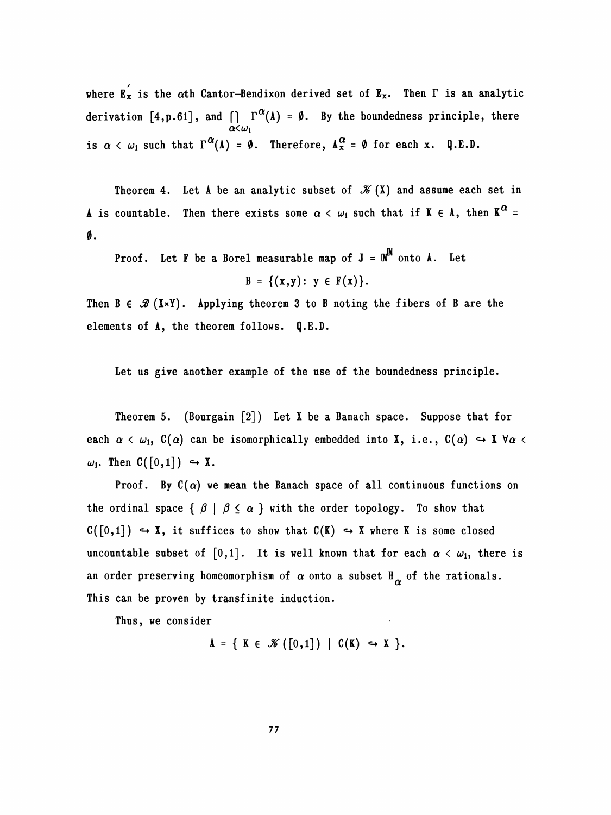where  $\mathbf{E}_{\mathbf{x}}^{'}$  is the  $\alpha$ th Cantor-Bendixon derived set of  $\mathbf{E}_{\mathbf{x}}$ . Then  $\Gamma$  is an analytic derivation [4, p. 61], and  $\bigcap \Gamma^{\alpha}(\Lambda) = \emptyset$ . By the boundedness principle, there  $\alpha<\omega_1$ is  $\alpha < \omega_1$  such that  $\Gamma^{\alpha}(A) = \emptyset$ . Therefore,  $A_x^{\alpha} = \emptyset$  for each x. Q.E.D.

Theorem 4. Let A be an analytic subset of  $\mathcal{K}(X)$  and assume each set in A is countable. Then there exists some  $\alpha < \omega_1$  such that if K  $\epsilon$  A, then K<sup> $\alpha$ </sup>  $\emptyset$  .

Proof. Let F be a Borel measurable map of  $J = M^m$ 

$$
B = \{(x,y): y \in F(x)\}.
$$

Then  $B \in \mathcal{B}(X \times Y)$ . Applying theorem 3 to B noting the fibers of B are the elements of A, the theorem follows. Q.E.D.

Let us give another example of the use of the boundedness principle.

 Theorem 5. (Bourgain [2]) Let X be a Banach space. Suppose that for each  $\alpha < \omega_1$ ,  $C(\alpha)$  can be isomorphically embedded into X, i.e.,  $C(\alpha) \hookrightarrow X \forall \alpha <$  $\omega_1$ . Then  $C([0,1]) \hookrightarrow X$ .

Proof. By  $C(\alpha)$  we mean the Banach space of all continuous functions on the ordinal space  $\{\beta \mid \beta \leq \alpha\}$  with the order topology. To show that  $C([0,1]) \hookrightarrow X$ , it suffices to show that  $C(K) \hookrightarrow X$  where K is some closed uncountable subset of  $[0,1]$ . It is well known that for each  $\alpha < \omega_1$ , there is an order preserving homeomorphism of  $\alpha$  onto a subset  $\mathbb{H}_{\alpha}$  of the rationals. This can be proven by transfinite induction.

Thus, we consider

 $A = \{ K \in \mathcal{K}([0,1]) \mid C(K) \hookrightarrow X \}.$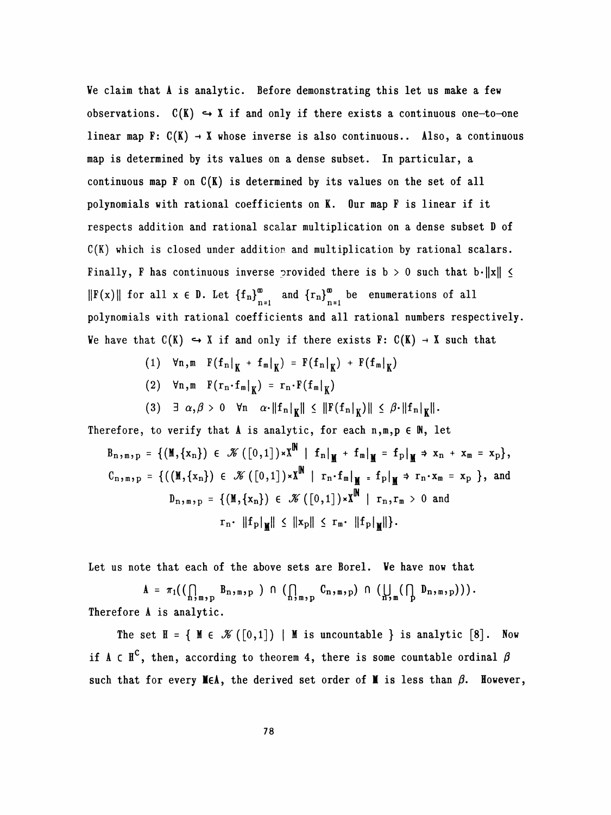Ve claim that A is analytic. Before demonstrating this let us make a few observations.  $C(K) \hookrightarrow X$  if and only if there exists a continuous one-to-one linear map  $F: C(K) \rightarrow X$  whose inverse is also continuous.. Also, a continuous map is determined by its values on a dense subset. In particular, a continuous map  $F$  on  $C(K)$  is determined by its values on the set of all polynomials with rational coefficients on K. Our map F is linear if it respects addition and rational scalar multiplication on a dense subset D of C(K) which is closed under addition and multiplication by rational scalars. Finally, F has continuous inverse provided there is  $b > 0$  such that  $b \cdot ||x|| \le$  $||F(x)||$  for all  $x \in D$ . Let  ${f_n}_{n=1}^{\infty}$  and  ${r_n}_{n=1}^{\infty}$  be enumerations of all polynomials with rational coefficients and all rational numbers respectively.  $\|F(x)\|$  for all  $x \in D$ . Let  $\{f_n\}_{n=1}^{\infty}$  and  $\{r_n\}_{n=1}^{\infty}$  be enumerations of all polynomials with rational coefficients and all rational numbers respectively. polynomials with rational coefficients and all rational numbers respectively.<br>We have that  $C(K) \hookrightarrow X$  if and only if there exists  $F: C(K) \to X$  such that at  $C(K) \hookrightarrow X$  if and only if there exists  $F: C(K) \to X$  such that<br>
(1)  $\forall n,m \ F(f_n|_K + f_m|_K) = F(f_n|_K) + F(f_m|_K)$ <br>
(2)  $\forall n,n \ F(r,f_n)$   $n \ F(f_n)$ 

- (1)  $\forall n,m \quad F(f_n|_K + f_m|_K) = F(f_n|_K) + F(f_m|_K)$ <br>
(2)  $\forall n,m \quad F(r_n \cdot f_m|_K) = r_n \cdot F(f_m|_K)$ <br>
(2)  $\exists a \in A > 0$ ,  $\forall n \in \mathbb{N}^k + \mathbb{N} \leq F(f + 1) \leq A \leq F(1)$
- 
- (2)  $\forall n,m \quad F(r_n \cdot f_m|_{\mathbf{K}}) = r_n \cdot F(f_m|_{\mathbf{K}})$ <br>
(3)  $\exists \alpha, \beta > 0 \quad \forall n \quad \alpha \cdot ||f_n|_{\mathbf{K}} || \leq ||F(f_n|_{\mathbf{K}})|| \leq \beta \cdot ||f_n|_{\mathbf{K}} ||.$ <br>
to verify that A is analytic, for each n m n  $\in \mathbb{N}$  let

Therefore, to verify that  $A$  is analytic, for each  $n,m,p \in \mathbb{N}$ , let

$$
B_{n,m,p} = \{ (\mathbf{M}, \{x_n\}) \in \mathcal{K} ([0,1]) \times \mathbf{X}^{\mathbf{M}} \mid f_n|_{\mathbf{M}} + f_m|_{\mathbf{M}} = f_p|_{\mathbf{M}} \Rightarrow x_n + x_m = x_p \},
$$
  
\n
$$
C_{n,m,p} = \{ ((\mathbf{M}, \{x_n\}) \in \mathcal{K} ([0,1]) \times \mathbf{X}^{\mathbf{N}} \mid r_n \cdot f_m|_{\mathbf{M}} = f_p|_{\mathbf{M}} \Rightarrow r_n \cdot x_m = x_p \}, \text{ and}
$$
  
\n
$$
D_{n,m,p} = \{ (\mathbf{M}, \{x_n\}) \in \mathcal{K} ([0,1]) \times \mathbf{X}^{\mathbf{N}} \mid r_n, r_m > 0 \text{ and}
$$
  
\n
$$
r_n \cdot ||f_p|_{\mathbf{M}} || \le ||x_p|| \le r_m \cdot ||f_p|_{\mathbf{M}} || \}.
$$

Let us note that each of the above sets are Borel. We have now that

 $A = \pi_1\left(\left(\bigcap_{n,m,p} B_n,\right| p \right) \cap \left(\bigcap_{n,m,p} C_n,\right| p \cap \left(\bigcup_{n,m,p} \left(\bigcap_{n,m,p}\right| p \right)\right).$ Therefore A is analytic.

The set  $H = \{ M \in \mathcal{K}([0,1]) \mid M \text{ is uncountable } \}$  is analytic [8]. Now if  $A \subset \mathbb{H}^C$ , then, according to theorem 4, there is some countable ordinal  $\beta$ such that for every MEA, the derived set order of M is less than  $\beta$ . However,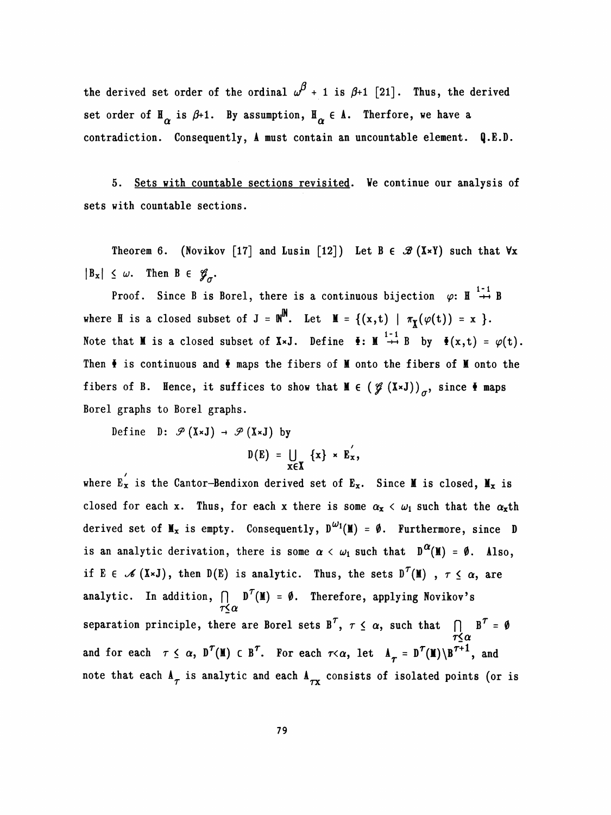the derived set order of the ordinal  $\omega^{\beta}$  + 1 is  $\beta$ +1 [21]. Thus, the derived set order of  $\mathbb{H}_{\alpha}$  is  $\beta+1$ . By assumption,  $\mathbb{H}_{\alpha} \in \Lambda$ . Therfore, we have a contradiction. Consequently, A must contain an uncountable element. Q.E.D.

 5. Sets with countable sections revisited. Ve continue our analysis of sets with countable sections.

Theorem 6. (Novikov [17] and Lusin [12]) Let B  $\in \mathcal{B}(X\times Y)$  such that  $\forall x$  $|B_x| \leq \omega$ . Then  $B \in \mathscr{G}_{\sigma}$ .

Proof. Since B is Borel, there is a continuous bijection  $\varphi: \mathbb{H} \stackrel{1-1}{\rightarrow} B$ where H is a closed subset of  $J = \mathbb{N}^{\mathbb{N}}$ . Let  $\mathbb{M} = \{ (x,t) | \pi_{\mathbb{X}}(\varphi(t)) = x \}$ . Note that M is a closed subset of XxJ. Define  $\bar{\bullet}$ : M  $\overset{1-1}{\rightarrow}$  B by  $\bar{\bullet}(x,t) = \varphi(t)$ . Then  $\bar{\bullet}$  is continuous and  $\bar{\bullet}$  maps the fibers of M onto the fibers of M onto the fibers of B. Hence, it suffices to show that  $M \in (\mathcal{J} (X\times J))_{\sigma}$ , since  $\Phi$  maps Borel graphs to Borel graphs.

Define D:  $\mathcal{P}(X \times J) \rightarrow \mathcal{P}(X \times J)$  by

/

$$
D(E) = \bigcup_{x \in X} \{x\} \times E_x',
$$

where  $E_X$  is the Cantor-Bendixon derived set of  $E_X$ closed for each x. Thus, for each x there is some  $\alpha_x < \omega_1$  such that the  $\alpha_x$ th derived set of  $M_x$  is empty. Consequently,  $D^{\omega_1}(M) = \emptyset$ . Furthermore, since D is an analytic derivation, there is some  $\alpha < \omega_1$  such that  $D^{\alpha}(M) = \emptyset$ . Also, if E  $\in \mathscr{A}(X\times J)$ , then D(E) is analytic. Thus, the sets  $D^{\mathcal{T}}(M)$ ,  $\tau \leq \alpha$ , are analytic. In addition,  $|$  D'(M) = 0. Therefore, applying Novikov's<br> $\tau \leq \alpha$ separation principle, there are Borel sets B',  $\tau \leq \alpha$ , such that  $\bigcap_{\tau \leq \alpha} B' = \emptyset$ and for each  $\tau \leq \alpha$ ,  $D^{\tau}(M) \subset B^{\tau}$ . For each  $\tau < \alpha$ , let  $A_{\tau} = D^{\tau}(M) \setminus B^{\tau+1}$ , and note that each  $A_{\tau}$  is analytic and each  $A_{\tau x}$  consists of isolated points (or is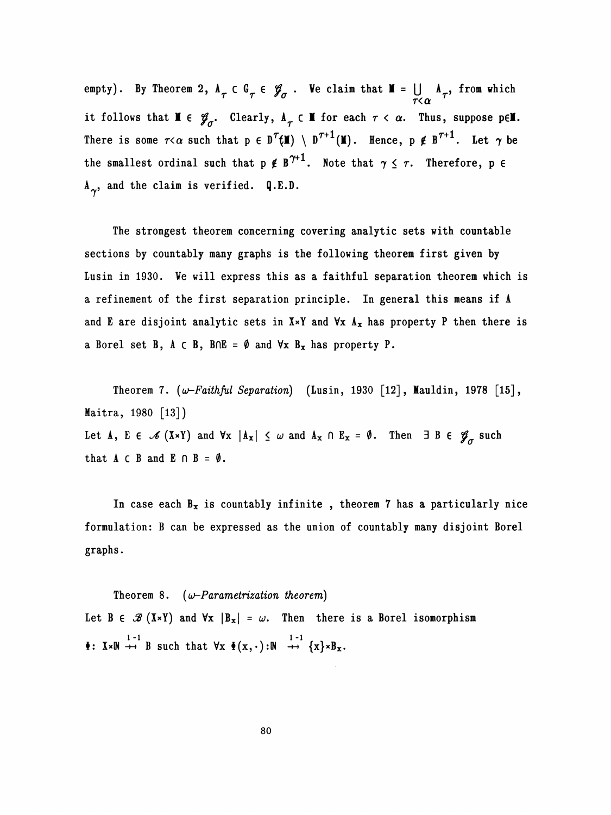empty). By Theorem 2,  $A_{\tau} \in \mathcal{G}_{\tau} \in \mathcal{G}_{\sigma}$ . We claim that  $\mathbf{M} = \bigcup_{\tau \leq \alpha} A_{\tau}$ , from which it follows that  $M \in \mathscr{G}_{\sigma}$ . Clearly,  $A_{\tau} \subset M$  for each  $\tau < \alpha$ . Thus, suppose pel. There is some  $\tau < \alpha$  such that  $p \in D^{\tau}(M) \setminus D^{\tau+1}(M)$ . Hence,  $p \notin B^{\tau+1}$ . Let  $\gamma$  be the smallest ordinal such that  $p \notin B^{\gamma+1}$ . Note that  $\gamma \leq \tau$ . Therefore, p  $\in$  $A_{\gamma}$ , and the claim is verified. Q.E.D.

 The strongest theorem concerning covering analytic sets with countable sections by countably many graphs is the following theorem first given by Lusin in 1930. Ve will express this as a faithful separation theorem which is a refinement of the first separation principle. In general this means if A and E are disjoint analytic sets in  $X \times Y$  and  $\forall x \land x$  has property P then there is a Borel set B,  $A \subset B$ ,  $B \cap E = \emptyset$  and  $\forall x B_x$  has property P.

Theorem 7.  $(\omega$ -Faithful Separation) (Lusin, 1930 [12], Mauldin, 1978 [15], Maitra, 1980 [13]) Let A, E  $\in \mathscr{I} (X\times Y)$  and  $\forall x |A_x| \leq \omega$  and  $A_x \cap E_x = \emptyset$ . Then  $\exists B \in \mathscr{G}_{\sigma}$  such that  $A \subset B$  and  $E \cap B = \emptyset$ .

In case each  $B_x$  is countably infinite, theorem 7 has a particularly nice formulation: B can be expressed as the union of countably many disjoint Borei graphs .

Theorem 8.  $(\omega$ -Parametrization theorem) Let B  $\in \mathcal{B}$  (X×Y) and  $\forall x |B_x| = \omega$ . Then there is a Borel isomorphism  $\check{\bullet}$ :  $X \times \mathbb{N}$   $\overset{1-1}{\rightarrow}$  B such that  $\forall x \check{\bullet}(x, \cdot) : \mathbb{N}$   $\overset{1-1}{\rightarrow} \{x\} \times B_x$ . Theorem 8.  $(\omega$ -Parametrization theorem)<br>Let  $B \in \mathcal{B}(X\times Y)$  and  $\forall x |B_x| = \omega$ . Then there is a Borel isomorphism<br> $\Phi: X\times \mathbb{N} \stackrel{1}{\rightarrow} B$  such that  $\forall x \Phi(x,\cdot): \mathbb{N} \stackrel{1}{\rightarrow} \{x\} \times B_x$ .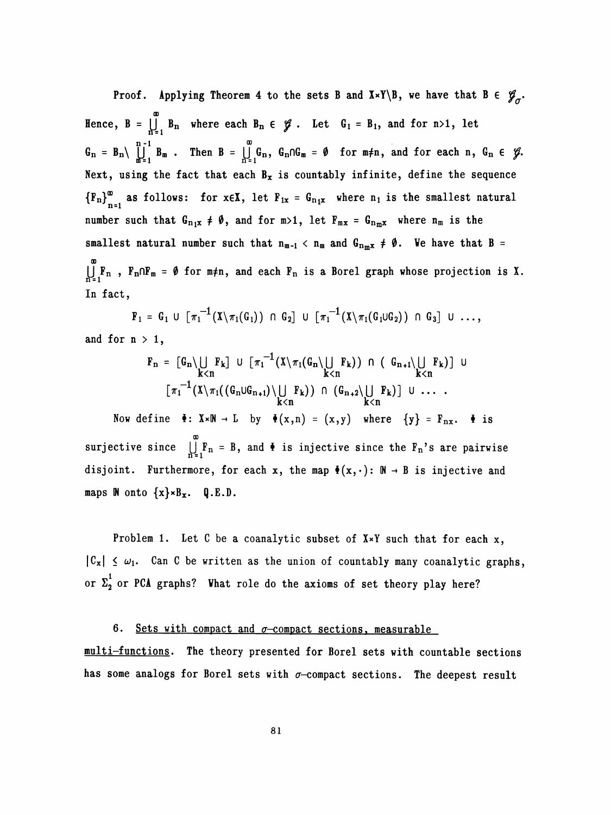Proof. Applying Theorem 4 to the sets B and  $X*Y\Bigr\setminus B$ , we have that  $B \in \mathscr{G}_{\sigma}$ . OD Hence,  $B = \bigcup_{n=1}^{\infty} B_n$  where each  $B_n \in \mathcal{Y}$ . Let  $G_1 = B_1$ , and  $=$   $\iint_{n=1}^{n-1} B_n$  where each  $\iint_{n=1}^{n-1} B_m$ . Then  $B = \iint_{n=1}^{\infty} B_n$ Hence,  $B = \iint_{n=1}^{\infty} B_n$  where each  $B_n \in \mathcal{G}$ . Let  $G_1 = B_1$ , and for  $n > 1$ , let<br>  $G_n = B_n \setminus \iint_{m=1}^{n-1} B_m$ . Then  $B = \iint_{n=1}^{\infty} G_n$ ,  $G_n \cap G_m = \emptyset$  for  $m \neq n$ , and for each n,  $G_n \in \mathcal{G}$ .<br>
Next, using the fact th  $G_n = B_n \left( \prod_{m=1}^{n-1} B_m \right)$ . Then  $B = \prod_{n=1}^{\infty} G_n$ ,  $G_n \cap G_m = \emptyset$  for  $m \neq n$ , and for each  $n$ ,  $G_n \in \mathcal{G}$ .<br>Next, using the fact that each  $B_x$  is countably infinite, define the sequence Next, using the fact that each  $B_x$  is countably infinite, define the sequence<br> ${F_n}_{n=1}^{\infty}$  as follows: for  $x \in X$ , let  $F_{1x} = G_{n_1x}$  where  $n_1$  is the smallest natural<br>number such that  $G_{n_1x} \neq \emptyset$ , and for  $m>1$  ${F_n}_{n=1}^{\infty}$  as follows: for  $x \in X$ , let  $F_{1x} = G_{n_1x}$  where  $n_1$  is the smallest natural<br>number such that  $G_{n_1x} \neq \emptyset$ , and for  $m>1$ , let  $F_{mx} = G_{n_mx}$  where  $n_m$  is the number such that  $G_{n_1x} \neq \emptyset$ , and for  $m>1$ , let  $F_{mx} = G_{n_mx}$  where  $n_m$  is the<br>smallest natural number such that  $n_{m-1} < n_m$  and  $G_{n_mx} \neq \emptyset$ . We have that  $B = \infty$  00  $\mu_{\mathbf{r}}$ ,  $\mathbf{r}_\text{n}$  is a borei graph whose production is  $\mathbf{r}_\text{n}$  is a borei graph whose production is  $\mathbf{r}_\text{n}$ . In fact,

$$
\mathbf{F}_1 = \mathbf{G}_1 \cup \left[ \pi_1^{-1}(X \setminus \pi_1(\mathbf{G}_1)) \cap \mathbf{G}_2 \right] \cup \left[ \pi_1^{-1}(X \setminus \pi_1(\mathbf{G}_1 \cup \mathbf{G}_2)) \cap \mathbf{G}_3 \right] \cup \ldots,
$$

and for  $n > 1$ ,

$$
F_n = [G_n \setminus \bigcup_{k < n} F_k] \cup [\pi_1^{-1}(X \setminus \pi_1(G_n \setminus \bigcup_{k < n} F_k)) \cap (G_{n+1} \setminus \bigcup_{k < n} F_k)] \cup
$$
  

$$
[\pi_1^{-1}(X \setminus \pi_1((G_n \cup G_{n+1}) \setminus \bigcup_{k < n} F_k)) \cap (G_{n+2} \setminus \bigcup_{k < n} F_k)] \cup ...
$$

Now define  $\check{\bullet}$ : X×N - L by  $\check{\bullet}(x,n) = (x,y)$  where  $\{y\} = F_{nx}$ .  $\check{\bullet}$  is OD surjective since  $\prod_{n=1}^{\infty}$  ond  $\frac{F}{n}$  is injective since the  $\frac{F}{n}$ disjoint. Furthermore, for each x, the map  $\Phi(x, \cdot)$ :  $\mathbb{N} \to \mathbb{B}$  is injective and maps  $M$  onto  $\{x\} \times B_x$ . Q.E.D.

Problem 1. Let  $C$  be a coanalytic subset of  $X \times Y$  such that for each x,  $|C_x| \leq \omega_1$ . Can C be written as the union of countably many coanalytic graphs, or  $\Sigma_2^1$  or PCA graphs? What role do the axioms of set theory play here?

## 6. Sets with compact and  $\sigma$ -compact sections, measurable

multi-functions. The theory presented for Borel sets with countable sections has some analogs for Borel sets with  $\sigma$ -compact sections. The deepest result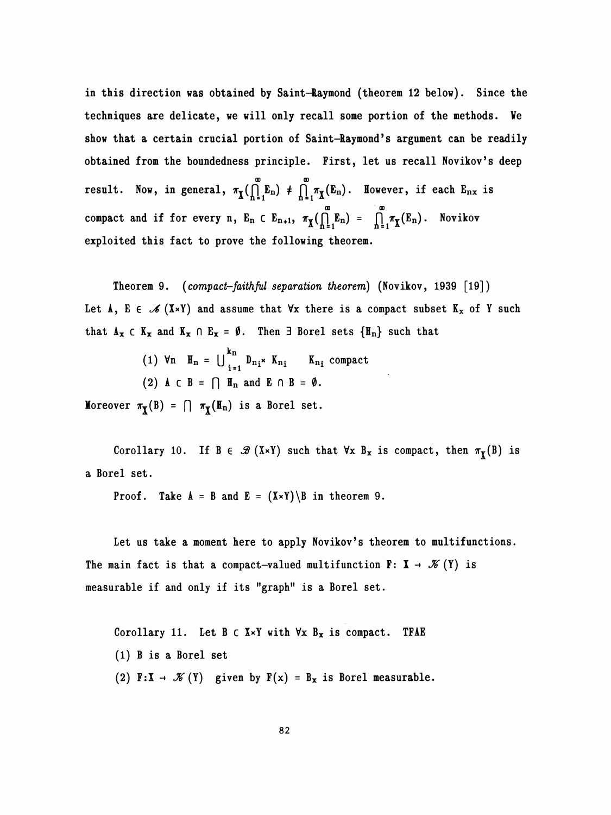in this direction was obtained by Saint-Raymond (theorem 12 below). Since the techniques are delicate, we will only recall some portion of the methods. Ve show that a certain crucial portion of Saint-Raymond's argument can be readily obtained from the boundedness principle. First, let us recall Novikov's deep result. Now, in general,  $\pi_{\text{X}}(\bigcap_{n=1}^{\infty} E_n) \neq \bigcap_{n=1}^{\infty} \pi_{\text{X}}(E_n)$ . However, if each  $E_{nx}$  is  $\begin{matrix}0&&&&&0\&0&&&&&0\&0&&&&&0\end{matrix}$ compact and if for every n,  $E_n \subset E_{n+1}$ ,  $\pi_{\tilde{X}}(\bigcap_{n=1}^{\tilde{E}} E_n) = \bigcap_{n=1}^{\tilde{E}} \pi_{\tilde{X}}(E_n)$ . Novikov exploited this fact to prove the following theorem.

Theorem 9. (compact-faith ful separation theorem) (Novikov, 1939 [19]) Let A, E  $\in \mathscr{I} (X \times Y)$  and assume that  $\forall x$  there is a compact subset  $K_x$  of Y such that  $A_x \subset K_x$  and  $K_x \cap E_x = \emptyset$ . Then  $\exists$  Borel sets  $\{H_n\}$  such that

> kn (1) Vn  $n_n - \bigcup_{i=1} p_{n_i} \times n_{n_i}$   $n_{n_i}$ (2) A  $\subset$  B =  $\cap$  H<sub>n</sub> and E  $\cap$  B =  $\emptyset$ .

Moreover  $\pi_{\overline{X}}(B) = \bigcap \pi_{\overline{X}}(H_n)$  is a Borel set.

Corollary 10. If  $B \in \mathcal{B}(X \times Y)$  such that  $\forall x B_x$  is compact, then  $\pi_X(B)$  is a Borel set.

**Proof.** Take  $A = B$  and  $E = (X \times Y) \setminus B$  in theorem 9.

Let us take a moment here to apply Novikov's theorem to multifunctions. The main fact is that a compact-valued multifunction  $F: X \rightarrow \mathcal{K}(Y)$  is measurable if and only if its "graph" is a Borel set.

Corollary 11. Let  $B \subset X \times Y$  with  $\forall x B_x$  is compact. TFAE (1) B is a Borei set (2) F:X  $\rightarrow \mathcal{K}(Y)$  given by  $F(x) = B_x$  is Borel measurable.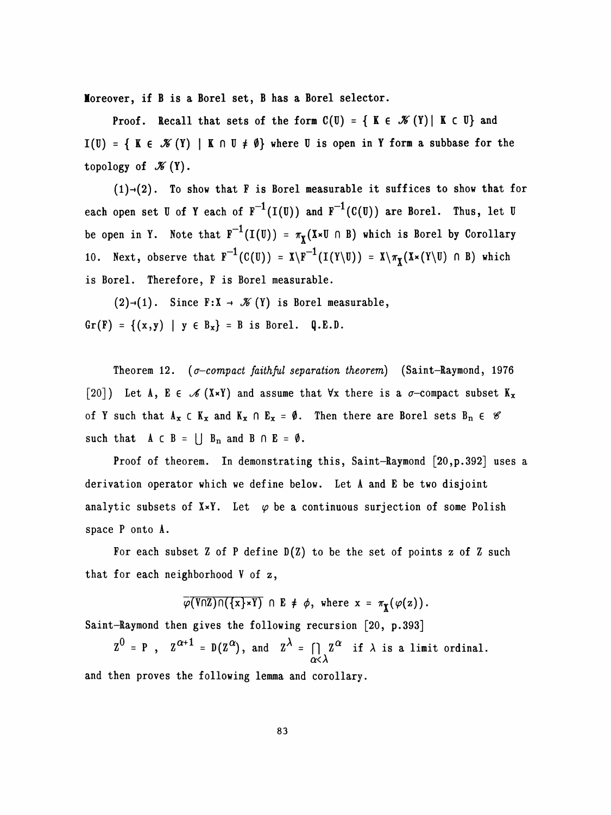Moreover, if B is a Borel set, B has a Borel selector.

Proof. Recall that sets of the form  $C(U) = \{ K \in \mathcal{K}(Y) | K \subset U \}$  and I(U) = { K  $\in \mathcal{K}(Y)$  | K  $\cap$  U  $\neq \emptyset$ } where U is open in Y form a subbase for the topology of  $\mathcal{K}(Y)$ .

 $(1) \rightarrow (2)$ . To show that F is Borel measurable it suffices to show that for each open set U of Y each of  $F^{-1}(I(U))$  and  $F^{-1}(C(U))$  are Borel. Thus, let U be open in Y. Note that  $F^{-1}(I(U)) = \pi_X(X \times U \cap B)$  which is Borel by Corollary 10. Next, observe that  $F^{-1}(C(U)) = X\backslash F^{-1}(I(Y\backslash U)) = X\backslash \pi_X(X\times (Y\backslash U) \cap B)$  which is Borel. Therefore, F is Borel measurable.

 $(2) \rightarrow (1)$ . Since  $F : X \rightarrow \mathcal{K}(Y)$  is Borel measurable,  $Gr(F) = \{ (x,y) | y \in B_x \} = B$  is Borel. Q.E.D.

Theorem 12. ( $\sigma$ -compact faithful separation theorem) (Saint-Raymond, 1976 [20]) Let A, E  $\in \mathscr{A}(X \times Y)$  and assume that  $\forall x$  there is a  $\sigma$ -compact subset  $K_x$ of Y such that  $A_x \subset K_x$  and  $K_x \cap E_x = \emptyset$ . Then there are Borel sets  $B_n \in \mathscr{C}$ such that  $A \subset B = \bigcup B_n$  and  $B \cap E = \emptyset$ .

Proof of theorem. In demonstrating this, Saint-Raymond [20, p. 392] uses a derivation operator which we define below. Let A and E be two disjoint analytic subsets of  $X\times Y$ . Let  $\varphi$  be a continuous surjection of some Polish space P onto A.

For each subset  $Z$  of  $P$  define  $D(Z)$  to be the set of points  $z$  of  $Z$  such that for each neighborhood V of z,

 $\overline{\varphi(V\cap Z)\cap(\{x\}*Y)}$   $\cap$  E  $\neq$   $\phi$ , where  $x = \pi_X(\varphi(z))$ .

Saint-Raymond then gives the following recursion [20, p.393]

 $Z^{\infty} = P$ ,  $Z^{\infty} = D(Z^{\infty})$ , and  $Z^{\infty} = \iint_{\alpha < \lambda} Z^{\alpha}$  if  $\lambda$  is a limit ordinal. and then proves the following lemma and corollary.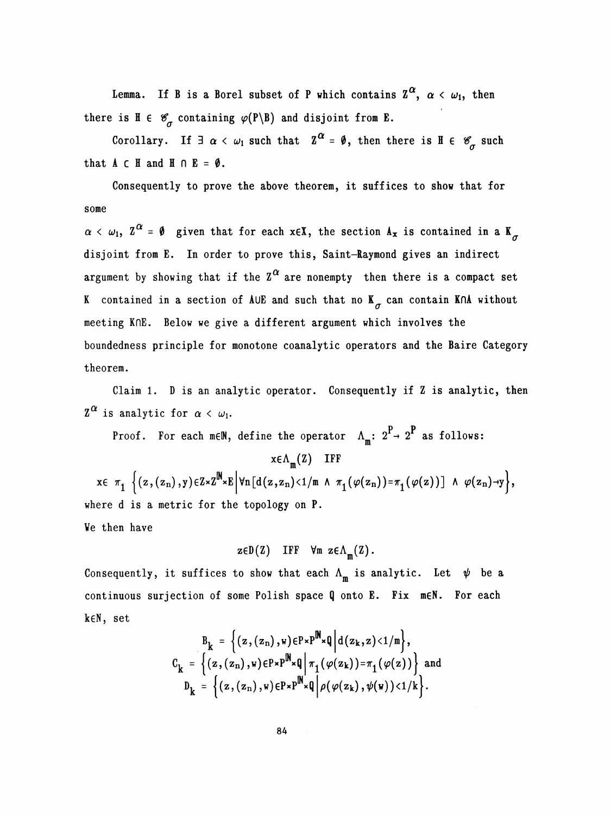Lemma. If B is a Borel subset of P which contains  $\mathbb{Z}^{\alpha}$ , there is  $H \in \mathscr{C}_{\sigma}$  containing  $\varphi(P \setminus B)$  and disjoint from E.

Corollary. If  $\exists \alpha < \omega_1$  such that  $\mathbb{Z}^{\alpha} = \emptyset$ , then there is  $\mathbb{H} \in \mathscr{C}_{\sigma}$  such that  $A \subset H$  and  $H \cap E = \emptyset$ .

 Consequently to prove the above theorem, it suffices to show that for some

 $\alpha < \omega_1$ ,  $Z^{\alpha} = \emptyset$  given that for each xeX, the section  $A_x$  is contained in a  $K_{\sigma}$ . disjoint from E. In order to prove this, Saint-Raymond gives an indirect argument by showing that if the  $\mathbf{Z}^{\boldsymbol{\alpha}}$  are nonempty then there is a compact K contained in a section of AUE and such that no  $K_{\sigma}$  can contain K∩A without meeting KnE. Below we give a different argument which involves the boundedness principle for monotone coanalytic operators and the Baire Category theorem.

 Claim 1. D is an analytic operator. Consequently if Z is analytic, then  $\mathbf{Z}^{\boldsymbol{\alpha}}$  is analytic for  $\boldsymbol{\alpha}$ 

Proof. For each meN, define the operator  $\Lambda_{\mathfrak{m}}\colon \,2^{\mathbf{P}} \to \,2^{\mathbf{P}}$  as follows:  $x \in \Lambda_m(Z)$  IFF  $x \in \pi_1$   $\Big\{(z,(z_n),y)\in\mathbb{Z}\times\mathbb{Z}^{\mathbb{N}}\times\mathbb{E} \Big| \forall n[d(z,z_n)\leq 1/\mathbb{N} \land \pi_1(\varphi(z_n))=\pi_1(\varphi(z))]\land \varphi(z_n)\rightarrow y\Big\},$  where d is a metric for the topology on P. Ve then have

 $z \in D(Z)$  IFF  $\forall m \ z \in \Lambda_m(Z)$ .

Consequently, it suffices to show that each  $\Lambda_m$  is analytic. Let  $\psi$  be a continuous surjection of some Polish space Q onto E. Fix meN. For each keN, set

$$
B_k = \left\{ (z, (z_n), w) \in P \times P^{\mathbb{N}} \times \mathbb{Q} \middle| d(z_k, z) < 1/\mathfrak{m} \right\},
$$
\n
$$
C_k = \left\{ (z, (z_n), w) \in P \times P^{\mathbb{N}} \times \mathbb{Q} \middle| \pi_1(\varphi(z_k)) = \pi_1(\varphi(z)) \right\} \text{ and }
$$
\n
$$
D_k = \left\{ (z, (z_n), w) \in P \times P^{\mathbb{N}} \times \mathbb{Q} \middle| \rho(\varphi(z_k), \psi(w)) < 1/k \right\}.
$$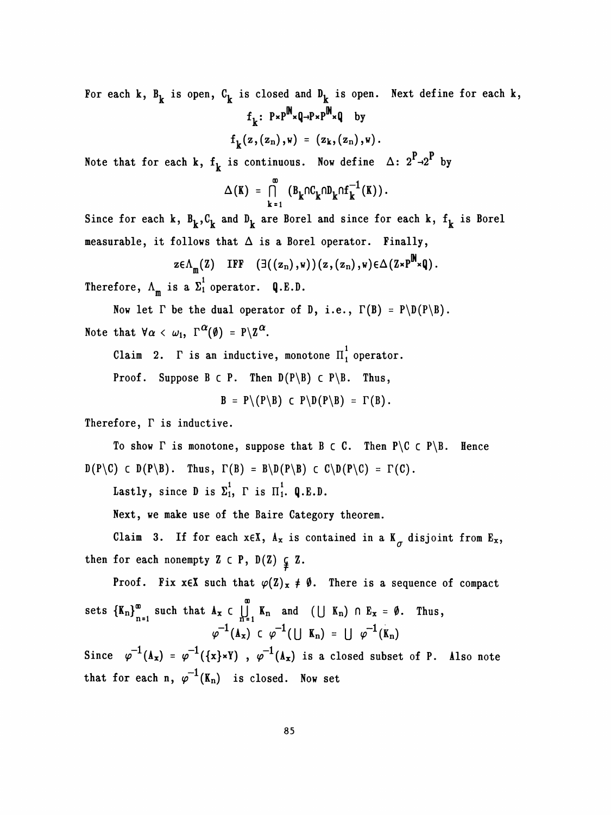For each k,  $B_k$  is open,  $C_k$  is closed and  $D_k$  is open. Next define for each k,  $f_k$ :  $P \times P^{\mathbf{N}} \times Q \to P \times P^{\mathbf{N}} \times Q$  by

$$
f_k(z,(z_n),w) = (z_k,(z_n),w).
$$

 $P_{\rightarrow}P$ Note that for each k,  $f^{\prime}_{k}$  is continuous. Now define  $\Delta:$  2  $\rightarrow$ 2 by

$$
\Delta(K) = \bigcap_{k=1}^{\infty} (B_k \cap C_k \cap D_k \cap f_k^{-1}(K)).
$$

Since for each k,  $B_k^C$ ,  $C_k^C$  and  $D_k^C$  are Borel and since for each k,  $f_k^C$  is Borel measurable, it follows that  $\Delta$  is a Borel operator. Finally,

$$
z \in \Lambda_m(Z)
$$
 IFF  $(\exists ((z_n), w))(z, (z_n), w) \in \Delta(Z \times P^m \times Q)$ .

Therefore,  $\Lambda_m$  is a  $\Sigma_1^1$  operator. Q.E.D.

Now let  $\Gamma$  be the dual operator of D, i.e.,  $\Gamma(B) = P\ D(P\ B)$ . Note that  $\forall \alpha < \omega_1$ ,  $\Gamma^{\alpha}(\emptyset) = P \setminus \mathbb{Z}^{\alpha}$ .

Claim 2.  $\Gamma$  is an inductive, monotone  $\prod_1^1$  operator.

Proof. Suppose B  $\subset P$ . Then  $D(P \setminus B) \subset P \setminus B$ . Thus,

 $B = P \ (P \ B) \ C \ P \ D (P \ B) = \Gamma (B)$ .

Therefore,  $\Gamma$  is inductive.

To show  $\Gamma$  is monotone, suppose that  $B \subset C$ . Then  $P \setminus C \subset P \setminus B$ . Hence  $D(P \setminus C) \subset D(P \setminus B)$ . Thus,  $\Gamma(B) = B \setminus D(P \setminus B) \subset C \setminus D(P \setminus C) = \Gamma(C)$ .

Lastly, since D is  $\Sigma_1^1$ ,  $\Gamma$  is  $\Pi_1^1$ . Q.E.D.

Next, we make use of the Baire Category theorem.

Claim 3. If for each  $x \in X$ ,  $A_x$  is contained in a  $K_{\sigma}$  disjoint from  $E_x$ , then for each nonempty  $Z \subset P$ ,  $D(Z) \subsetneq Z$ .

Proof. Fix  $x \in X$  such that  $\varphi(Z)_x \neq \emptyset$ . There is a sequence of compact 00 sets  $\{K_n\}_{n=1}^{\infty}$  such that  $A_x \subset \bigcup_{n=1}^{\infty} K_n$  and  $(\bigcup K_n) \cap E_x = \emptyset$ . Thus,<br>  $\varphi^{-1}(A_x) \subset \varphi^{-1}(\bigcup K_n) = \bigcup \varphi^{-1}(K_n)$ 

 $\varphi^{-1}(\Lambda_x) \subset \varphi^{-1}(\cup \Lambda_n) = \cup \varphi^{-1}(K_n)$ <br>Since  $\varphi^{-1}(\Lambda_x) = \varphi^{-1}(\{\mathbf{x}\} \star \mathbf{Y})$ ,  $\varphi^{-1}(\Lambda_x)$  is a closed subset of P. Also note Since  $\varphi^{-1}(\mathbf{A_x}) = \varphi^{-1}(\{\mathbf{x}\} \star \mathbf{Y})$ ,  $\varphi^{-1}(\mathbf{A_x})$  is a closed subset of P. Also note<br>that for each n,  $\varphi^{-1}(\mathbf{K_n})$  is closed. Now set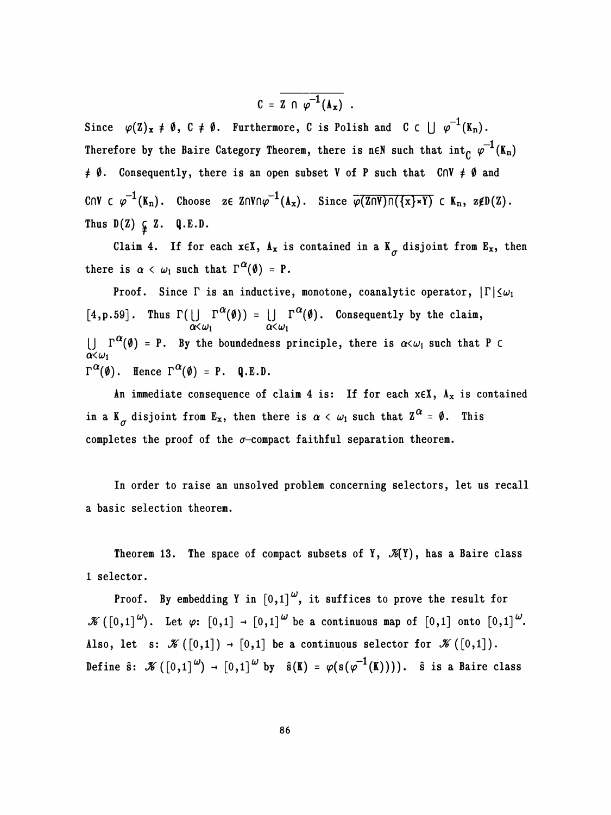$$
C = \overline{Z \cap \varphi^{-1}(A_x)} \ .
$$

Since  $\varphi(Z)_x \neq \emptyset$ ,  $C \neq \emptyset$ . Furthermore, C is Polish and C c  $\bigcup \varphi^{-1}(K_n)$ . Therefore by the Baire Category Theorem, there is neN such that  $\text{int}_C \varphi^{-1}(K_n)$  $\neq \emptyset$ . Consequently, there is an open subset V of P such that CnV  $\neq \emptyset$  and CNV c  $\varphi^{-1}(K_n)$ . Choose ze ZNVn $\varphi^{-1}(A_x)$ . Since  $\overline{\varphi(Z\cap V)\cap(\{x\}*Y)}$  c  $K_n$ , z $\notin D(Z)$ . Thus  $D(Z) \subsetneq Z$ . Q.E.D.

Claim 4. If for each  $x \in X$ ,  $A_x$  is contained in a  $K_{\sigma}$  disjoint from  $E_x$ , then there is  $\alpha < \omega_1$  such that  $\Gamma^{\alpha}(\emptyset) = P$ .

Proof. Since  $\Gamma$  is an inductive, monotone, coanalytic operator,  $|\Gamma|\leq\omega_1$ [4, p. 59]. Thus  $\Gamma(\bigcup_{\alpha<\omega_1}\Gamma^{\infty}(\emptyset)) = \bigcup_{\alpha<\omega_1}\Gamma^{\infty}(\emptyset)$ . Consequently by the claim,  $\bigcup_{i=1}^{\infty} \Gamma^{\alpha}(\emptyset) = P$ . By the boundedness principle, there is  $\alpha \leq \omega_1$  such that P C  $\alpha \lt \omega_1$  $\Gamma^{\alpha}(\emptyset)$ . Hence  $\Gamma^{\alpha}(\emptyset) = P$ . Q.E.D.

An immediate consequence of claim 4 is: If for each  $x \in X$ ,  $A_x$  is contained in a K<sub> $\sigma$ </sub> disjoint from E<sub>x</sub>, then there is  $\alpha < \omega_1$  such that  $Z^{\alpha} = \emptyset$ . This completes the proof of the  $\sigma$ -compact faithful separation theorem.

 In order to raise an unsolved problem concerning selectors, let us recall a basic selection theorem.

Theorem 13. The space of compact subsets of Y,  $\mathcal{K}(Y)$ , has a Baire class 1 selector.

Proof. By embedding Y in  $[0,1]$ <sup> $\omega$ </sup>, it suffices to prove the result for  $\mathscr{K}([0,1]^{\omega})$ . Let  $\varphi: [0,1] \to [0,1]^{\omega}$  be a continuous map of  $[0,1]$  onto  $[0,1]^{\omega}$ . Also, let s:  $\mathscr{K}([0,1]) \to [0,1]$  be a continuous selector for  $\mathscr{K}([0,1])$ . Define  $\hat{\mathbf{s}}: \mathcal{K}([0,1]^{\omega}) \to [0,1]^{\omega}$  by  $\hat{\mathbf{s}}(K) = \varphi(\mathbf{s}(\varphi^{-1}(K))))$ .  $\hat{\mathbf{s}}$  is a Baire class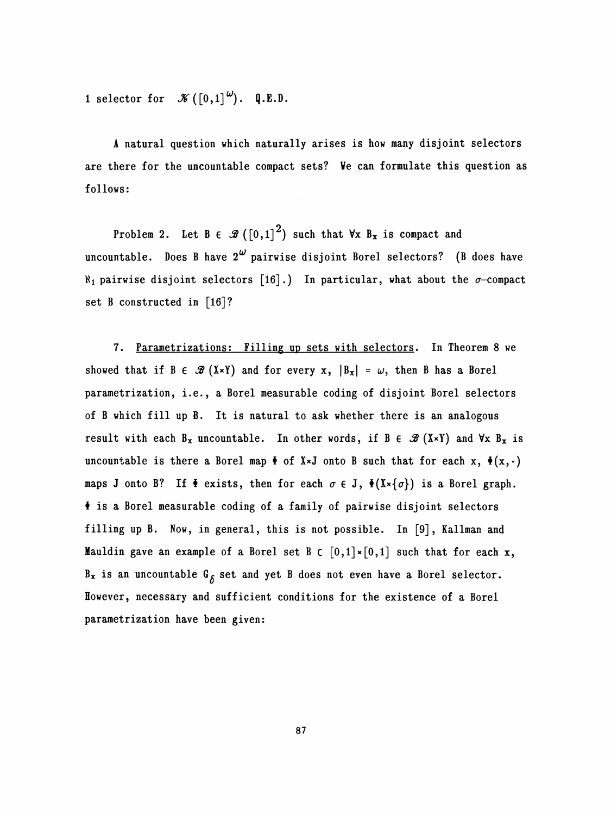1 selector for  $\mathcal{K}([0,1]^{\omega})$ . Q.E.D.

 A natural question which naturally arises is how many disjoint selectors are there for the uncountable compact sets? Ve can formulate this question as follows:

Problem 2. Let  $B \in \mathscr{B}([0,1]^2)$  such that  $\forall x B_x$  is compact and uncountable. Does B have  $2^{\omega}$  pairwise disjoint Borel selectors? (B does have  $\aleph_1$  pairwise disjoint selectors [16].) In particular, what about the  $\sigma$ -compact set B constructed in [16]?

 7. Parametrizations: Filling up sets with selectors. In Theorem 8 we showed that if  $B \in \mathcal{B}(X \times Y)$  and for every x,  $|B_x| = \omega$ , then B has a Borel parametrization, i.e., a Borel measurable coding of disjoint Borel selectors of B which fill up B. It is natural to ask whether there is an analogous result with each  $B_x$  uncountable. In other words, if  $B \in \mathcal{B}(X \times Y)$  and  $\forall x B_x$  is uncountable is there a Borel map  $\bullet$  of X×J onto B such that for each x,  $\bullet(x, \cdot)$ maps J onto B? If  $\bullet$  exists, then for each  $\sigma \in J$ ,  $\bullet$  (X $\times$ { $\sigma$ }) is a Borel graph.  $\bullet$  is a Borel measurable coding of a family of pairwise disjoint selectors filling up B. Now, in general, this is not possible. In [9], Kallman and Mauldin gave an example of a Borel set B  $\in [0,1] \times [0,1]$  such that for each x,  $B_x$  is an uncountable  $G_{\beta}$  set and yet B does not even have a Borel selector. However, necessary and sufficient conditions for the existence of a Borei parametrization have been given:

87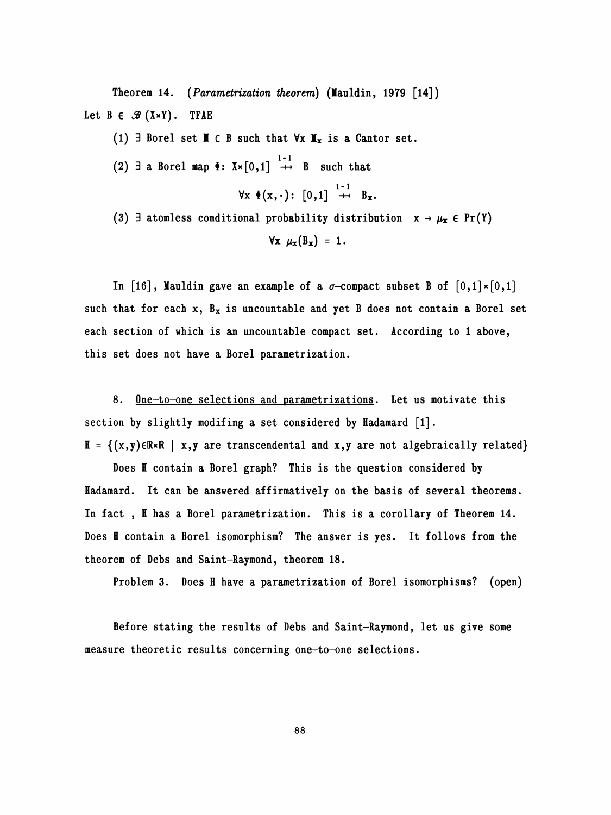Theorem 14. (*Parametrization theorem*) (Mauldin, 1979  $[14]$ ) Let  $B \in \mathcal{B}(X \times Y)$ . TFAE

(1)  $\exists$  Borel set **I**  $\in$  B such that  $\forall$ x **I**<sub>x</sub> is a Cantor set. (2)  $\exists$  a Borel map  $\check{\Phi}$ :  $X \times [0,1] \stackrel{1-1}{\rightarrow} B$  such that  $\forall x \ \Phi(x, \cdot) : [0,1] \rightarrow B_x.$ (3)  $\exists$  atomless conditional probability distribution  $x \rightarrow \mu_x \in Pr(Y)$  $\forall x \mu_x(B_x) = 1.$ 

In [16], Mauldin gave an example of a  $\sigma$ -compact subset B of  $[0,1] \times [0,1]$ such that for each  $x$ ,  $B_x$  is uncountable and yet B does not contain a Borel set each section of which is an uncountable compact set. According to 1 above, this set does not have a Borel parametrization.

8. One-to-one selections and parametrizations. Let us motivate this section by slightly modifing a set considered by Hadamard [1].  $H = \{(x,y) \in \mathbb{R} \times \mathbb{R} \mid x,y \text{ are transcendental and } x,y \text{ are not algebraically related}\}\$ 

Does H contain a Borel graph? This is the question considered by Hadamard. It can be answered affirmatively on the basis of several theorems. In fact, H has a Borel parametrization. This is a corollary of Theorem 14. Does H contain a Borel isomorphism? The answer is yes. It follows from the theorem of Debs and Saint-Raymond, theorem 18.

Problem 3. Does H have a parametrization of Borei isomorphisms? (open)

 Before stating the results of Debs and Saint-Raymond, let us give some measure theoretic results concerning one-to-one selections.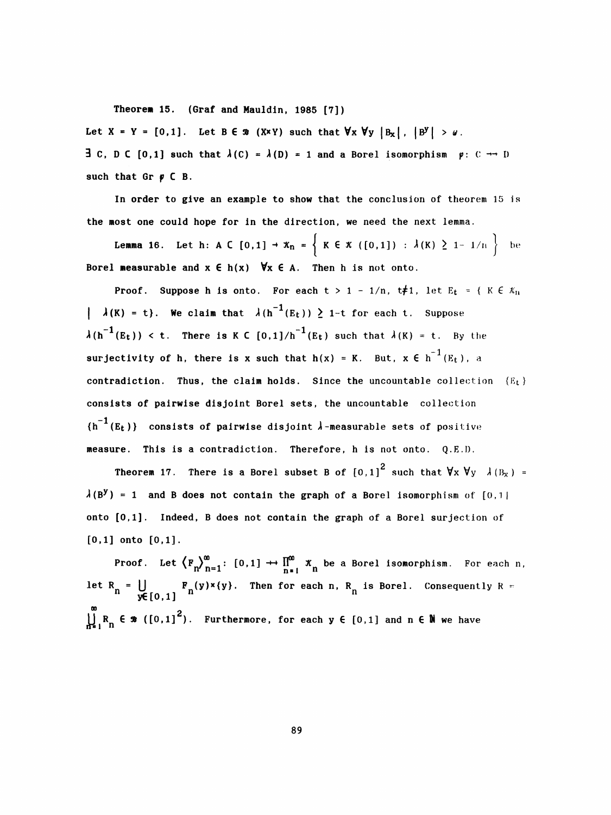Theoren 15. (Graf and Mauldin, 1985 [7])

Let  $X = Y = [0,1]$ . Let  $B \in \mathcal{B}$  (X\*Y) such that  $\forall x \forall y |B_x |$ ,  $|B^y| > \omega$ .

**3** C, D C [0,1] such that  $\lambda(C) = \lambda(D) = 1$  and a Borel isomorphism  $\varphi: C \rightarrow D$ such that  $Gr \nvert p \nvert C B$ .

 In order to give an example to show that the conclusion of theorem 15 is the most one could hope for In the direction, we need the next lemma.

**Lemma 16.** Let h: A C [0,1]  $\rightarrow x_n = \{ K \in \mathcal{K} \setminus (0,1] \}$  :  $\lambda(K) \geq 1 - 1/n \}$  be Borel measurable and  $x \in h(x)$   $\forall x \in A$ . Then h is not onto.

**Proof.** Suppose h is onto. For each  $t > 1 - 1/n$ ,  $t \neq 1$ , let  $E_t = \{ K \in \mathcal{K}_n \}$ |  $\lambda(K) = t$ }. We claim that  $\lambda(h^{-1}(E_t)) \ge 1$ -t for each t. Suppose  $\lambda(h^{-1}(E_t)) < t$ . There is K C  $[0,1]/h^{-1}(E_t)$  such that  $\lambda(K) = t$ . By the surjectivity of h, there is x such that  $h(x) = K$ . But,  $x \in h^{-1}(E_t)$ , a contradiction. Thus, the claim holds. Since the uncountable collection  ${E_t}$  consists of pairwise disjoint Borei sets, the uncountable collection  ${h^{-1}(E_t)}$  consists of pairwise disjoint  $\lambda$ -measurable sets of positive measure. This is a contradiction. Therefore, h is not onto. Q.E.I).

**Theorem 17.** There is a Borel subset B of  $[0,1]^2$  such that  $\forall x \forall y \; \lambda (B_x) =$  $\lambda$ (B<sup>y</sup>) = 1 and B does not contain the graph of a Borel isomorphism of [0,1 | onto [0,1]. Indeed, B does not contain the graph of a Borel surjection of [0,1] onto [0,1].

**Proof.** Let  $\left\langle F_n \right\rangle_{n=1}^{\infty}$ :  $[0,1] \rightarrow \prod_{n=1}^{\infty} x_n$  be a Borel isomorphism. For each n, let R<sub>n</sub> =  $\bigcup_{y \in [0,1]} F_n(y) \times \{y\}$ . Then for each n, R<sub>n</sub> is Borel. Consequently R =  $\bigcup_{n=1}^{\infty} R_n \in \mathcal{R}$  ([0,1]<sup>2</sup>). Furthermore, for each  $y \in [0,1]$  and  $n \in \mathbb{N}$  we have  $\sum_{n=1}^{\infty} R_n \in \mathcal{B} \left( \left[ 0,1 \right]^2 \right)$ . Furthermore, for each y  $\in$  [0,1] and n  $\in \mathbb{N}$  we have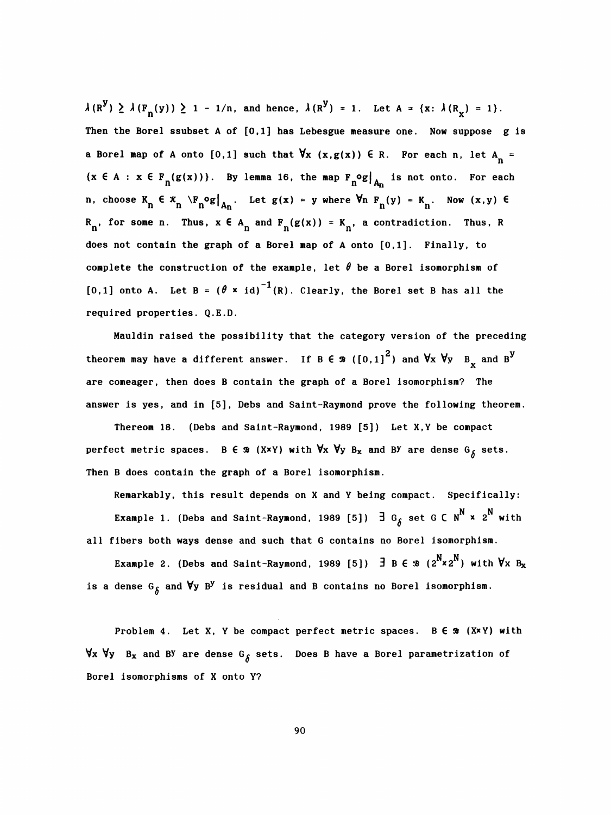$\lambda(R^{\mathbf{y}}) \geq \lambda(F_n(\mathbf{y})) \geq 1 - 1/n$ , and hence,  $\lambda(R^{\mathbf{y}}) = 1$ . Let  $A = \{x: \lambda(R_x) = 1\}$ . Then the Borel ssubset A of  $[0,1]$  has Lebesgue measure one. Now suppose g is a Borel map of A onto [0,1] such that  $\forall x$  (x,g(x))  $\in$  R. For each n, let A<sub>n</sub> =  $\{x \in A : x \in F_n(g(x))\}.$  By lemma 16, the map  $F_n^{\circ} g|_{A_n}$  is not onto. For each n, choose  $K_n \in \mathfrak{X}_n \setminus F_n^o g|_{A_n}$ . Let  $g(x) = y$  where  $\forall n \ F_n(y) = K_n$ . Now  $(x, y) \in R_n$ , for some n. Thus,  $x \in A_n$  and  $F_n(g(x)) = K_n$ , a contradiction. Thus, R n, choose  $K_n \in \mathcal{K}_n \setminus F_n \circ g|_{A_n}$ . Let  $g(x) = y$  where  $\forall n \ F_n(y) = K_n$ . Now  $(x, y) \in R_n$ , for some n. Thus,  $x \in A_n$  and  $F_n(g(x)) = K_n$ , a contradiction. Thus, R<br>dece not easted the weak of a Basel was of t ante 50.11. Finally, t does not contain the graph of a Borei map of A onto [0,1]. Finally, to complete the construction of the example, let  $\theta$  be a Borel isomorphism of [0,1] onto A. Let B =  $(\theta \times id)^{-1}(R)$ . Clearly, the Borel set B has all the required properties. Q.E.D.

 Mauldin raised the possibility that the category version of the preceding theorem may have a different answer. If B E  $\,$  ([0,1] $^2$ ) and  $\forall$ x  $\forall$ y  $\,$  B  $\!_{\rm X}$  and  $\rm B}^{\rm y}$ are comeager, then does B contain the graph of a Borel isomorphism? The answer is yes, and in [5], Debs and Saint-Raymond prove the following theorem.

 Thereom 18. (Debs and Saint-Raymond, 1989 [5]) Let X,Y be compact perfect metric spaces. B  $\epsilon \gg (X\times Y)$  with  $\forall x \forall y B_x$  and BY are dense  $G_\delta$  sets. Then B does contain the graph of a Borel isomorphism.

 Remarkably, this result depends on X and Y being compact. Specifically: Example 1. (Debs and Saint-Raymond, 1989 [5])  $\exists$  G<sub>b</sub> set G C N<sup>N</sup> x 2<sup>N</sup> with all fibers both ways dense and such that G contains no Borel isomorphism.

Example 2. (Debs and Saint-Raymond, 1989 [5])  $\exists$  B  $\in$   $\mathcal{B}$  ( $2^N \times 2^N$ ) with  $\forall x$  B<sub>x</sub> is a dense G<sub> $\delta$ </sub> and  $\forall$ y B<sup>y</sup> is residual and B contains no Borel isomorphism.

Problem 4. Let X, Y be compact perfect metric spaces.  $B \in \mathcal{B}$  (X $x$ Y) with  $\forall x$   $\forall y$  B<sub>x</sub> and B<sup>y</sup> are dense G<sub>S</sub> sets. Does B have a Borel parametrization of Borel isomorphisms of X onto Y?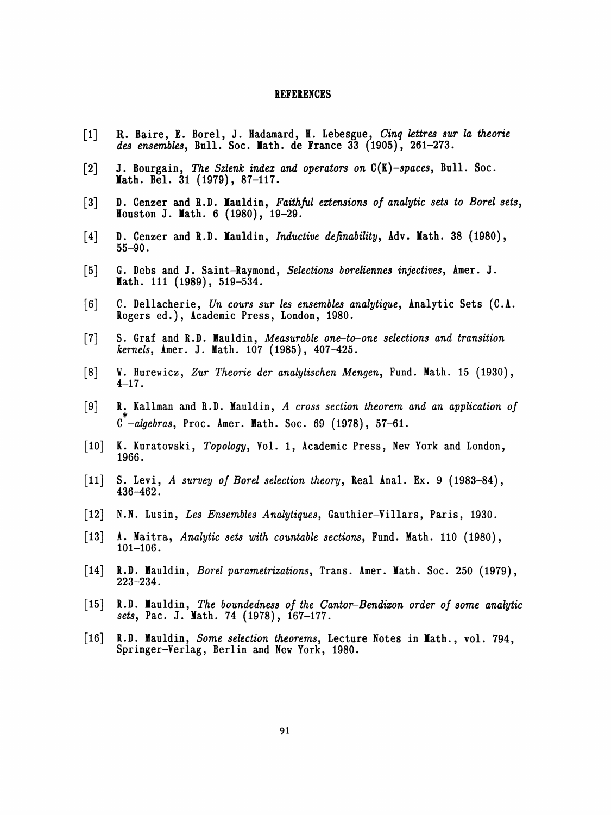#### REFERENCES

- [1] R. Baire, E. Borel, J. Hadamard, H. Lebesgue, Cinq lettres sur la theorie des ensembles, Bull. Soc. Math. de France 33  $(1905)$ , 261-273.
- [2] J. Bourgain, The Szlenk index and operators on  $C(K)$ -spaces, Bull. Soc. Math. Bel. 31 (1979), 87-117.
- [3] D. Cenzer and R.D. Mauldin, Faithful extensions of analytic sets to Borel sets, Houston J. Math. 6 (1980), 19-29.
- [4] D. Cenzer and R.D. Mauldin, *Inductive definability*,  $Adv. Math. 38 (1980)$ , 55-90.
- [5] 6. Debs and J. Saint-Raymond, Selections boreliennes injectives, Amer. J. Math. 111 (1989), 519–534.
- [6] C. Dellacherie, Un cours sur les ensembles analytique, Analytic Sets  $(C.A.$ Rogers ed.), Academic Press, London, 1980.
- [7] S. Graf and R.D. Mauldin, Measurable one-to-one selections and transition kernels, Amer. J. Math. 107 (1985), 407-425.
- [8] V. Hurewicz, Zur Theorie der analytischen Mengen, Fund. Math. 15 (1930), 4-17.
- [9] R. Kallman and R.D. Mauldin, A cross section theorem and an application of \*  $\sigma$  -algebras, Proc. Amer. math. Soc. 69 (1978), 5
- [10] K. Kuratowski, Topology, Vol. 1, Academic Press, New York and London, 1966.
- [11] S. Levi, A survey of Borei selection theory, Real Anal. Ex. 9 (1983-84), 436-462 .
- [12] N.N. Lusin, Les Ensembles Analytiques, Gauthier-Villars, Paris, 1930.
- [13] A. Maitra, Analytic sets with countable sections, Fund. Math. 110 (1980), 101-106.
- [14] R.D. Mauldin, Borei parametrizations, Trans. Amer. Math. Soc. 250 (1979), 223-234.
- $[15]$  R.D. Mauldin, The boundedness of the Cantor-Bendixon order of some analytic sets, Pac. J. Math. 74 (1978), 167-177.
- [16] R.D. Mauldin, Some selection theorems, Lecture Notes in Math., vol. 794, Springer-Verlag, Berlin and New York, 1980.